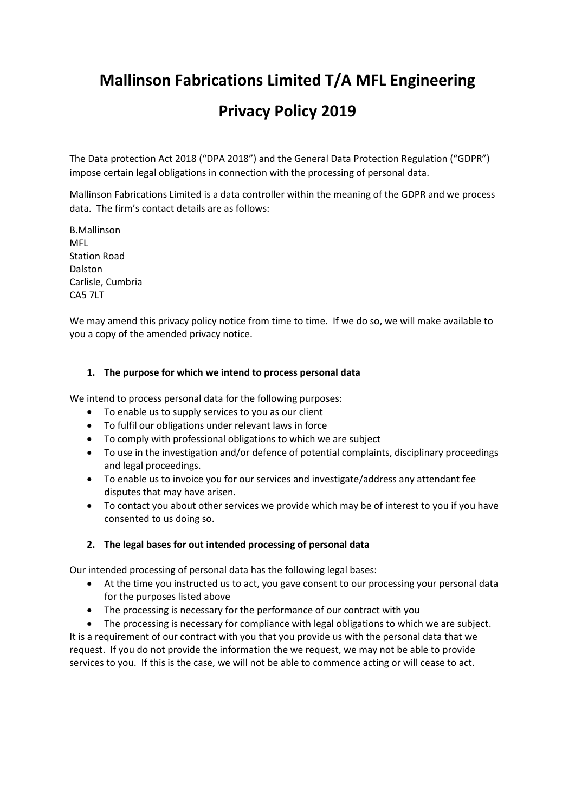# **Mallinson Fabrications Limited T/A MFL Engineering Privacy Policy 2019**

The Data protection Act 2018 ("DPA 2018") and the General Data Protection Regulation ("GDPR") impose certain legal obligations in connection with the processing of personal data.

Mallinson Fabrications Limited is a data controller within the meaning of the GDPR and we process data. The firm's contact details are as follows:

B.Mallinson MFL Station Road Dalston Carlisle, Cumbria CA5 7LT

We may amend this privacy policy notice from time to time. If we do so, we will make available to you a copy of the amended privacy notice.

## **1. The purpose for which we intend to process personal data**

We intend to process personal data for the following purposes:

- To enable us to supply services to you as our client
- To fulfil our obligations under relevant laws in force
- To comply with professional obligations to which we are subject
- To use in the investigation and/or defence of potential complaints, disciplinary proceedings and legal proceedings.
- To enable us to invoice you for our services and investigate/address any attendant fee disputes that may have arisen.
- To contact you about other services we provide which may be of interest to you if you have consented to us doing so.

#### **2. The legal bases for out intended processing of personal data**

Our intended processing of personal data has the following legal bases:

- At the time you instructed us to act, you gave consent to our processing your personal data for the purposes listed above
- The processing is necessary for the performance of our contract with you

The processing is necessary for compliance with legal obligations to which we are subject. It is a requirement of our contract with you that you provide us with the personal data that we request. If you do not provide the information the we request, we may not be able to provide services to you. If this is the case, we will not be able to commence acting or will cease to act.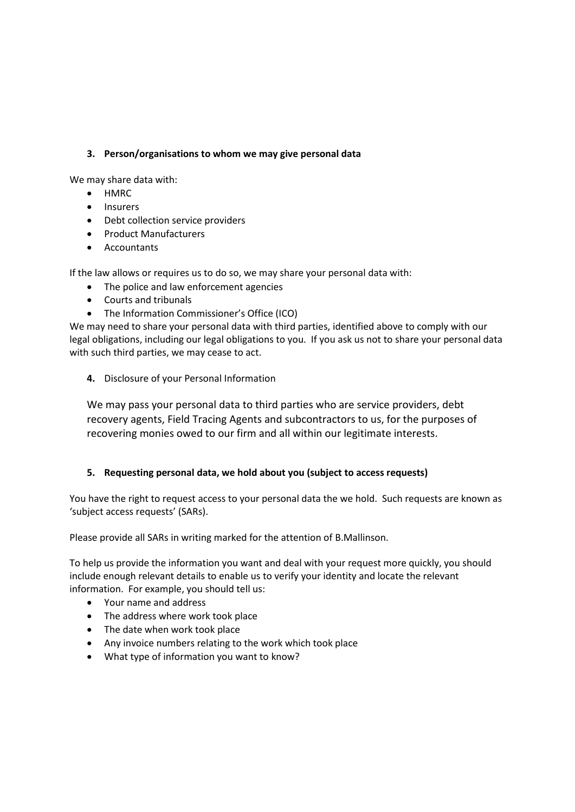## **3. Person/organisations to whom we may give personal data**

We may share data with:

- HMRC
- Insurers
- Debt collection service providers
- Product Manufacturers
- Accountants

If the law allows or requires us to do so, we may share your personal data with:

- The police and law enforcement agencies
- Courts and tribunals
- The Information Commissioner's Office (ICO)

We may need to share your personal data with third parties, identified above to comply with our legal obligations, including our legal obligations to you. If you ask us not to share your personal data with such third parties, we may cease to act.

**4.** Disclosure of your Personal Information

We may pass your personal data to third parties who are service providers, debt recovery agents, Field Tracing Agents and subcontractors to us, for the purposes of recovering monies owed to our firm and all within our legitimate interests.

## **5. Requesting personal data, we hold about you (subject to access requests)**

You have the right to request access to your personal data the we hold. Such requests are known as 'subject access requests' (SARs).

Please provide all SARs in writing marked for the attention of B.Mallinson.

To help us provide the information you want and deal with your request more quickly, you should include enough relevant details to enable us to verify your identity and locate the relevant information. For example, you should tell us:

- Your name and address
- The address where work took place
- The date when work took place
- Any invoice numbers relating to the work which took place
- What type of information you want to know?